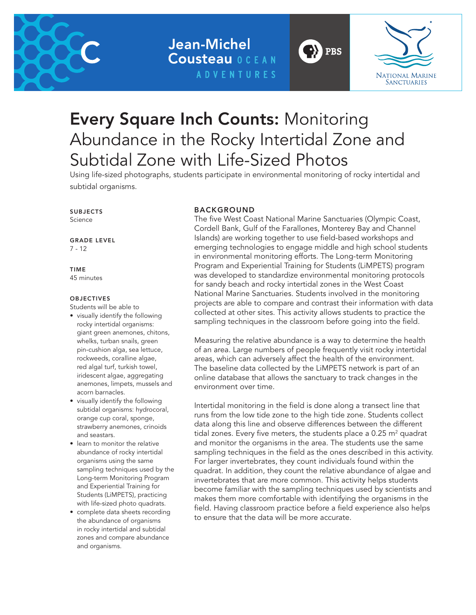

## Jean-Michel **Cousteau OCEAN ADVENTURES**



# Every Square Inch Counts: Monitoring Abundance in the Rocky Intertidal Zone and Subtidal Zone with Life-Sized Photos

Using life-sized photographs, students participate in environmental monitoring of rocky intertidal and subtidal organisms.

#### SUBJECTS Science

GRADE LEVEL 7 - 12

#### TIME 45 minutes

#### **OBJECTIVES**

Students will be able to

- visually identify the following rocky intertidal organisms: giant green anemones, chitons, whelks, turban snails, green pin-cushion alga, sea lettuce, rockweeds, coralline algae, red algal turf, turkish towel, iridescent algae, aggregating anemones, limpets, mussels and acorn barnacles.
- visually identify the following subtidal organisms: hydrocoral, orange cup coral, sponge, strawberry anemones, crinoids and seastars.
- learn to monitor the relative abundance of rocky intertidal organisms using the same sampling techniques used by the Long-term Monitoring Program and Experiential Training for Students (LiMPETS), practicing with life-sized photo quadrats.
- complete data sheets recording the abundance of organisms in rocky intertidal and subtidal zones and compare abundance and organisms.

#### BACKGROUND

The five West Coast National Marine Sanctuaries (Olympic Coast, Cordell Bank, Gulf of the Farallones, Monterey Bay and Channel Islands) are working together to use field-based workshops and emerging technologies to engage middle and high school students in environmental monitoring efforts. The Long-term Monitoring Program and Experiential Training for Students (LiMPETS) program was developed to standardize environmental monitoring protocols for sandy beach and rocky intertidal zones in the West Coast National Marine Sanctuaries. Students involved in the monitoring projects are able to compare and contrast their information with data collected at other sites. This activity allows students to practice the sampling techniques in the classroom before going into the field.

'}} PBS

Measuring the relative abundance is a way to determine the health of an area. Large numbers of people frequently visit rocky intertidal areas, which can adversely affect the health of the environment. The baseline data collected by the LiMPETS network is part of an online database that allows the sanctuary to track changes in the environment over time.

Intertidal monitoring in the field is done along a transect line that runs from the low tide zone to the high tide zone. Students collect data along this line and observe differences between the different tidal zones. Every five meters, the students place a 0.25  $m<sup>2</sup>$  quadrat and monitor the organisms in the area. The students use the same sampling techniques in the field as the ones described in this activity. For larger invertebrates, they count individuals found within the quadrat. In addition, they count the relative abundance of algae and invertebrates that are more common. This activity helps students become familiar with the sampling techniques used by scientists and makes them more comfortable with identifying the organisms in the field. Having classroom practice before a field experience also helps to ensure that the data will be more accurate.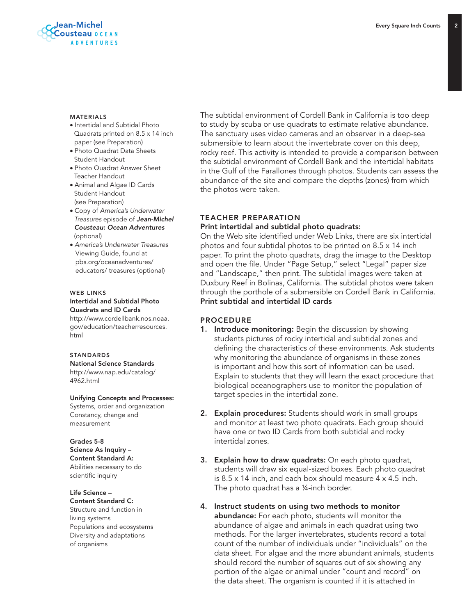

#### MATERIALS

- Intertidal and Subtidal Photo Quadrats printed on 8.5 x 14 inch paper (see Preparation)
- Photo Quadrat Data Sheets Student Handout
- Photo Quadrat Answer Sheet Teacher Handout
- Animal and Algae ID Cards Student Handout (see Preparation)
- Copy of *America's Underwater Treasures* episode of *Jean-Michel Cousteau: Ocean Adventures* (optional)
- *America's Underwater Treasures* Viewing Guide, found at pbs.org/oceanadventures/ educators/ treasures (optional)

#### WEB LINKS Intertidal and Subtidal Photo

Quadrats and ID Cards

http://www.cordellbank.nos.noaa. gov/education/teacherresources. html

#### **STANDARDS**

National Science Standards http://www.nap.edu/catalog/ 4962.html

#### Unifying Concepts and Processes:

Systems, order and organization Constancy, change and measurement

#### Grades 5-8

Science As Inquiry – Content Standard A: Abilities necessary to do scientific inquiry

Life Science – Content Standard C:

Structure and function in living systems Populations and ecosystems Diversity and adaptations of organisms

The subtidal environment of Cordell Bank in California is too deep to study by scuba or use quadrats to estimate relative abundance. The sanctuary uses video cameras and an observer in a deep-sea submersible to learn about the invertebrate cover on this deep, rocky reef. This activity is intended to provide a comparison between the subtidal environment of Cordell Bank and the intertidal habitats in the Gulf of the Farallones through photos. Students can assess the abundance of the site and compare the depths (zones) from which the photos were taken.

#### TEACHER PREPARATION

#### Print intertidal and subtidal photo quadrats:

On the Web site identified under Web Links, there are six intertidal photos and four subtidal photos to be printed on 8.5 x 14 inch paper. To print the photo quadrats, drag the image to the Desktop and open the file. Under "Page Setup," select "Legal" paper size and "Landscape," then print. The subtidal images were taken at Duxbury Reef in Bolinas, California. The subtidal photos were taken through the porthole of a submersible on Cordell Bank in California. Print subtidal and intertidal ID cards

#### PROCEDURE

- 1. Introduce monitoring: Begin the discussion by showing students pictures of rocky intertidal and subtidal zones and defining the characteristics of these environments. Ask students why monitoring the abundance of organisms in these zones is important and how this sort of information can be used. Explain to students that they will learn the exact procedure that biological oceanographers use to monitor the population of target species in the intertidal zone.
- 2. Explain procedures: Students should work in small groups and monitor at least two photo quadrats. Each group should have one or two ID Cards from both subtidal and rocky intertidal zones.
- **3. Explain how to draw quadrats:** On each photo quadrat, students will draw six equal-sized boxes. Each photo quadrat is 8.5 x 14 inch, and each box should measure 4 x 4.5 inch. The photo quadrat has a ¼-inch border.
- 4. Instruct students on using two methods to monitor abundance: For each photo, students will monitor the abundance of algae and animals in each quadrat using two methods. For the larger invertebrates, students record a total count of the number of individuals under "individuals" on the data sheet. For algae and the more abundant animals, students should record the number of squares out of six showing any portion of the algae or animal under "count and record" on the data sheet. The organism is counted if it is attached in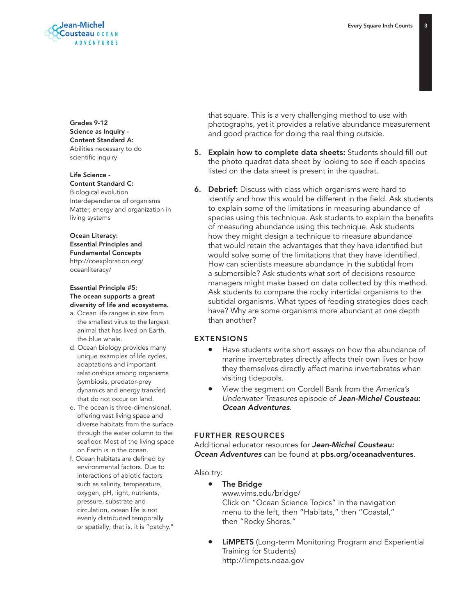

Grades 9-12 Science as Inquiry - Content Standard A: Abilities necessary to do scientific inquiry

Life Science - Content Standard C:

Biological evolution Interdependence of organisms Matter, energy and organization in living systems

#### Ocean Literacy: Essential Principles and Fundamental Concepts http://coexploration.org/

oceanliteracy/

#### Essential Principle #5: The ocean supports a great diversity of life and ecosystems.

- a. Ocean life ranges in size from the smallest virus to the largest animal that has lived on Earth, the blue whale.
- d. Ocean biology provides many unique examples of life cycles, adaptations and important relationships among organisms (symbiosis, predator-prey dynamics and energy transfer) that do not occur on land.
- e. The ocean is three-dimensional, offering vast living space and diverse habitats from the surface through the water column to the seafloor. Most of the living space on Earth is in the ocean.
- f. Ocean habitats are defined by environmental factors. Due to interactions of abiotic factors such as salinity, temperature, oxygen, pH, light, nutrients, pressure, substrate and circulation, ocean life is not evenly distributed temporally or spatially; that is, it is "patchy."

that square. This is a very challenging method to use with photographs, yet it provides a relative abundance measurement and good practice for doing the real thing outside.

- 5. Explain how to complete data sheets: Students should fill out the photo quadrat data sheet by looking to see if each species listed on the data sheet is present in the quadrat.
- 6. Debrief: Discuss with class which organisms were hard to identify and how this would be different in the field. Ask students to explain some of the limitations in measuring abundance of species using this technique. Ask students to explain the benefits of measuring abundance using this technique. Ask students how they might design a technique to measure abundance that would retain the advantages that they have identified but would solve some of the limitations that they have identified. How can scientists measure abundance in the subtidal from a submersible? Ask students what sort of decisions resource managers might make based on data collected by this method. Ask students to compare the rocky intertidal organisms to the subtidal organisms. What types of feeding strategies does each have? Why are some organisms more abundant at one depth than another?

#### EXTENSIONS

- Have students write short essays on how the abundance of marine invertebrates directly affects their own lives or how they themselves directly affect marine invertebrates when visiting tidepools.
- View the segment on Cordell Bank from the *America's Underwater Treasures* episode of *Jean-Michel Cousteau: Ocean Adventures*.

#### FURTHER RESOURCES

Additional educator resources for *Jean-Michel Cousteau: Ocean Adventures* can be found at pbs.org/oceanadventures.

#### Also try:

- The Bridge www.vims.edu/bridge/ Click on "Ocean Science Topics" in the navigation menu to the left, then "Habitats," then "Coastal," then "Rocky Shores."
- **LIMPETS** (Long-term Monitoring Program and Experiential Training for Students) http://limpets.noaa.gov

 $\overline{3}$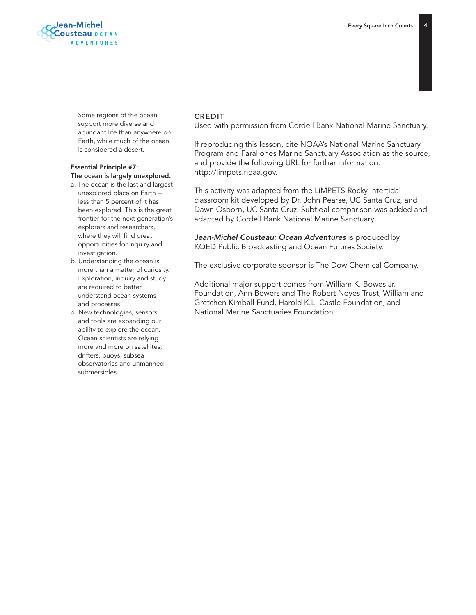

 Some regions of the ocean support more diverse and abundant life than anywhere on Earth, while much of the ocean is considered a desert.

#### Essential Principle #7: The ocean is largely unexplored.

- a. The ocean is the last and largest unexplored place on Earth - less than 5 percent of it has been explored. This is the great frontier for the next generation's explorers and researchers, where they will find great opportunities for inquiry and investigation.
- b. Understanding the ocean is more than a matter of curiosity. Exploration, inquiry and study are required to better understand ocean systems and processes.
- d. New technologies, sensors and tools are expanding our ability to explore the ocean. Ocean scientists are relying more and more on satellites, drifters, buoys, subsea observatories and unmanned submersibles.

#### CREDIT

Used with permission from Cordell Bank National Marine Sanctuary.

If reproducing this lesson, cite NOAA's National Marine Sanctuary Program and Farallones Marine Sanctuary Association as the source, and provide the following URL for further information: http://limpets.noaa.gov.

This activity was adapted from the LiMPETS Rocky Intertidal classroom kit developed by Dr. John Pearse, UC Santa Cruz, and Dawn Osborn, UC Santa Cruz. Subtidal comparison was added and adapted by Cordell Bank National Marine Sanctuary.

*Jean-Michel Cousteau: Ocean Adventures* is produced by KQED Public Broadcasting and Ocean Futures Society.

The exclusive corporate sponsor is The Dow Chemical Company.

Additional major support comes from William K. Bowes Jr. Foundation, Ann Bowers and The Robert Noyes Trust, William and Gretchen Kimball Fund, Harold K.L. Castle Foundation, and National Marine Sanctuaries Foundation.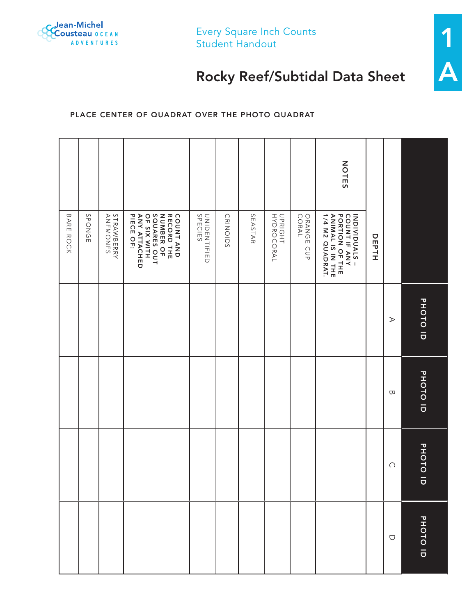

Every Square Inch Counts Student Handout



# Rocky Reef/Subtidal Data Sheet

### Place center of quadrat over the photo quadrat

|       |                                                                                                          | PHOTO ID              | PHOTO ID | PHOTO ID  |
|-------|----------------------------------------------------------------------------------------------------------|-----------------------|----------|-----------|
|       |                                                                                                          | $\blacktriangleright$ | Б        | $\bigcap$ |
|       | DEPTH                                                                                                    |                       |          |           |
| NOTES | INDIVIDUALS -<br>COUNT IF ANY<br>PORTION OF THE<br>ANIMALIS IN THE<br>1/4 M2 QUADRAT.                    |                       |          |           |
|       | ORANGE CUP<br>CORAL                                                                                      |                       |          |           |
|       | UPRIGHT<br>HYDROCORAL                                                                                    |                       |          |           |
|       | SEASTAR                                                                                                  |                       |          |           |
|       | CRINOIDS                                                                                                 |                       |          |           |
|       | <b>UNIDENTIFIED</b><br>SPECIES                                                                           |                       |          |           |
|       | SQUARES OUT<br>COUNT AND<br>RECORD THE<br>RECORD THE<br><b>ANY ATTACHED<br/>PIECE OF:</b><br>OF SIX WITH |                       |          |           |
|       | <b>STRAWBERRY<br/>ANEMONES</b>                                                                           |                       |          |           |
|       | <b>SPONGE</b>                                                                                            |                       |          |           |
|       | BARE ROCK                                                                                                |                       |          |           |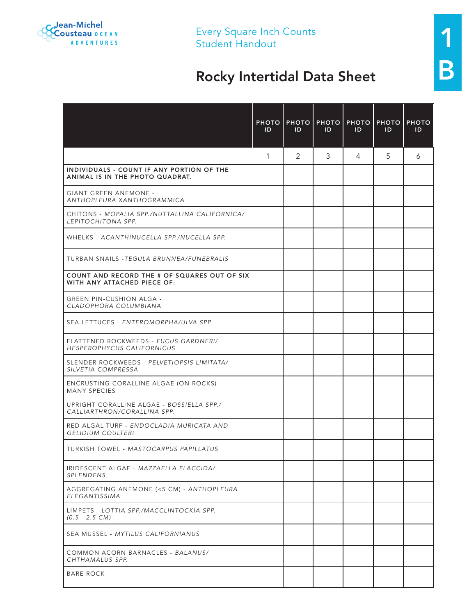

Every Square Inch Counts<br>Student Handout

# Every Square Inch Counts<br>
Student Handout<br>
Rocky Intertidal Data Sheet

|                                                                                    | <b>PHOTO</b><br>ID | <b>PHOTO</b><br>ID | ID | <b>PHOTO   PHOTO   PHOTO</b><br>ID | ID | <b>PHOTO</b><br>ID |
|------------------------------------------------------------------------------------|--------------------|--------------------|----|------------------------------------|----|--------------------|
|                                                                                    | $\mathbf{1}$       | 2                  | 3  | 4                                  | 5  | 6                  |
| INDIVIDUALS - COUNT IF ANY PORTION OF THE<br>ANIMAL IS IN THE PHOTO QUADRAT.       |                    |                    |    |                                    |    |                    |
| <b>GIANT GREEN ANEMONE -</b><br>ANTHOPLEURA XANTHOGRAMMICA                         |                    |                    |    |                                    |    |                    |
| CHITONS - MOPALIA SPP./NUTTALLINA CALIFORNICA/<br>LEPITOCHITONA SPP.               |                    |                    |    |                                    |    |                    |
| WHELKS - ACANTHINUCELLA SPP./NUCELLA SPP.                                          |                    |                    |    |                                    |    |                    |
| TURBAN SNAILS - TEGULA BRUNNEA/FUNEBRALIS                                          |                    |                    |    |                                    |    |                    |
| <b>COUNT AND RECORD THE # OF SQUARES OUT OF SIX</b><br>WITH ANY ATTACHED PIECE OF: |                    |                    |    |                                    |    |                    |
| GREEN PIN-CUSHION ALGA -<br>CLADOPHORA COLUMBIANA                                  |                    |                    |    |                                    |    |                    |
| SEA LETTUCES - ENTEROMORPHA/ULVA SPP.                                              |                    |                    |    |                                    |    |                    |
| FLATTENED ROCKWEEDS - FUCUS GARDNERI/<br>HESPEROPHYCUS CALIFORNICUS                |                    |                    |    |                                    |    |                    |
| SLENDER ROCKWEEDS - PELVETIOPSIS LIMITATA/<br>SILVETIA COMPRESSA                   |                    |                    |    |                                    |    |                    |
| ENCRUSTING CORALLINE ALGAE (ON ROCKS) -<br><b>MANY SPECIES</b>                     |                    |                    |    |                                    |    |                    |
| UPRIGHT CORALLINE ALGAE - BOSSIELLA SPP./<br>CALLIARTHRON/CORALLINA SPP.           |                    |                    |    |                                    |    |                    |
| RED ALGAL TURF - ENDOCLADIA MURICATA AND<br><b>GELIDIUM COULTERI</b>               |                    |                    |    |                                    |    |                    |
| TURKISH TOWEL - MASTOCARPUS PAPILLATUS                                             |                    |                    |    |                                    |    |                    |
| IRIDESCENT ALGAE - MAZZAELLA FLACCIDA/<br>SPLENDENS                                |                    |                    |    |                                    |    |                    |
| AGGREGATING ANEMONE (<5 CM) - ANTHOPLEURA<br>ELEGANTISSIMA                         |                    |                    |    |                                    |    |                    |
| LIMPETS - LOTTIA SPP./MACCLINTOCKIA SPP.<br>$(0.5 - 2.5 \text{ CM})$               |                    |                    |    |                                    |    |                    |
| SEA MUSSEL - MYTILUS CALIFORNIANUS                                                 |                    |                    |    |                                    |    |                    |
| COMMON ACORN BARNACLES - BALANUS/<br>CHTHAMALUS SPP.                               |                    |                    |    |                                    |    |                    |
| <b>BARE ROCK</b>                                                                   |                    |                    |    |                                    |    |                    |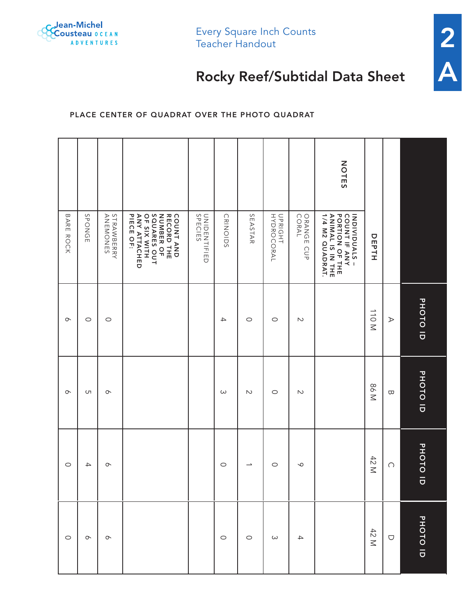

Every Square Inch Counts Teacher Handout



## Rocky Reef/Subtidal Data Sheet

## Place center of quadrat over the photo quadrat

|           |               |                        |                                                                                                                |                                |                 |                          |                       |                        | NOTES                                                                                  |       |                  |          |
|-----------|---------------|------------------------|----------------------------------------------------------------------------------------------------------------|--------------------------------|-----------------|--------------------------|-----------------------|------------------------|----------------------------------------------------------------------------------------|-------|------------------|----------|
| BARE ROCK | SPONGE        | STRAWBERRY<br>ANEMONES | SQUARES OUT<br><b>ANY ATTACHED<br/>PIECE OF:</b><br>COUNT AND<br>RECORD THE<br>OF SIX WITH<br><b>NUMBER OF</b> | <b>UNIDENTIFIED</b><br>SPECIES | <b>CRINOIDS</b> | SEASTAR                  | UPRIGHT<br>HYDROCORAL | ORANGE<br>CORAL<br>CUP | INDIVIDUALS -<br>COUNT IF ANY<br>PORTION OF THE<br>ANIMAL IS IN THE<br>1/4 M2 QUADRAT. | DEPTH |                  |          |
| $\infty$  | $\circ$       | $\circ$                |                                                                                                                |                                | $\rightarrow$   | $\circ$                  | $\circ$               | $\sim$                 |                                                                                        | N OLL | $\triangleright$ | PHOTO ID |
| $\infty$  | UП            | $\circ$                |                                                                                                                |                                | $\omega$        | $\sim$                   | $\circ$               | $\sim$                 |                                                                                        | N 98  | $\varpi$         | PHOTO ID |
| $\circ$   | $\rightarrow$ | $\circ$                |                                                                                                                |                                | $\circ$         | $\overline{\phantom{a}}$ | $\circ$               | $\mathsf{\circ}$       |                                                                                        | 42 M  | $\bigcap$        | PHOTO ID |
| $\circ$   | $\infty$      | $\infty$               |                                                                                                                |                                | $\circ$         | $\circ$                  | $\omega$              | $\rightarrow$          |                                                                                        | 42 M  | $\bigcirc$       | PHOTO ID |